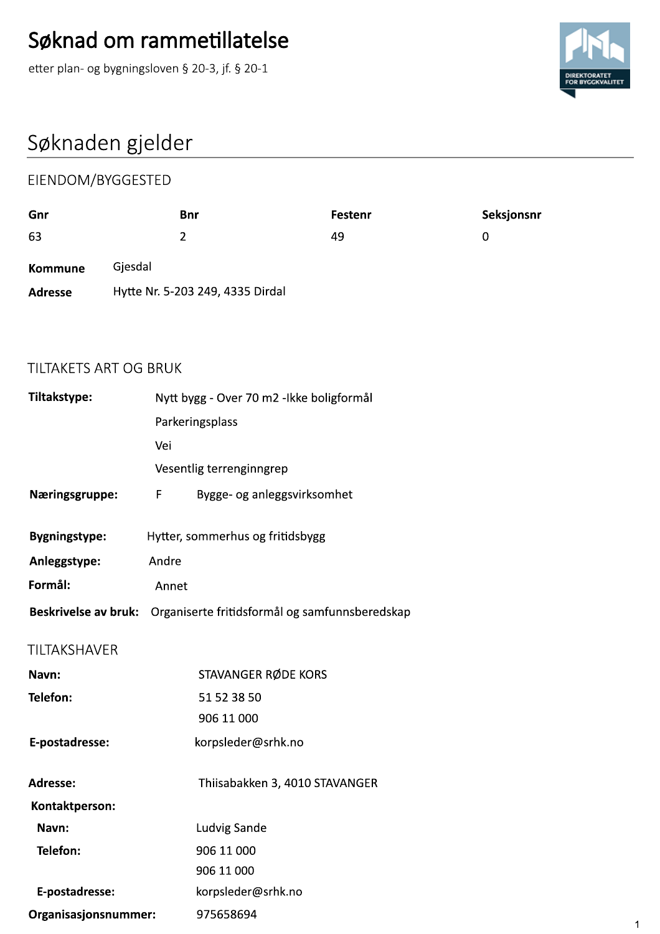

# Søknaden gjelder<br>————————————————————

|                | Søknad om rammetillatelse                       |         |             |
|----------------|-------------------------------------------------|---------|-------------|
|                | etter plan- og bygningsloven § 20-3, jf. § 20-1 |         |             |
|                |                                                 |         |             |
|                | Søknaden gjelder                                |         |             |
|                | EIENDOM/BYGGESTED                               |         |             |
| Gnr            | <b>Bnr</b>                                      | Festenr | Seksjonsnr  |
| 63             | $\overline{2}$                                  | 49      | $\mathbf 0$ |
|                |                                                 |         |             |
| <b>Kommune</b> | Gjesdal                                         |         |             |

| unr                         |         | pur                              | restenr                                        | seksjonsnr  |              |
|-----------------------------|---------|----------------------------------|------------------------------------------------|-------------|--------------|
| 63                          |         | $\overline{2}$                   | 49                                             | $\mathbf 0$ |              |
| <b>Kommune</b>              | Gjesdal |                                  |                                                |             |              |
| <b>Adresse</b>              |         | Hytte Nr. 5-203 249, 4335 Dirdal |                                                |             |              |
| TILTAKETS ART OG BRUK       |         |                                  |                                                |             |              |
| Tiltakstype:                |         |                                  | Nytt bygg - Over 70 m2 -Ikke boligformål       |             |              |
|                             |         | Parkeringsplass                  |                                                |             |              |
|                             | Vei     |                                  |                                                |             |              |
|                             |         | Vesentlig terrenginngrep         |                                                |             |              |
| Næringsgruppe:              | F       |                                  | Bygge- og anleggsvirksomhet                    |             |              |
| <b>Bygningstype:</b>        |         | Hytter, sommerhus og fritidsbygg |                                                |             |              |
| Anleggstype:                | Andre   |                                  |                                                |             |              |
| Formål:                     | Annet   |                                  |                                                |             |              |
| <b>Beskrivelse av bruk:</b> |         |                                  | Organiserte fritidsformål og samfunnsberedskap |             |              |
| TILTAKSHAVER                |         |                                  |                                                |             |              |
| Navn:                       |         | STAVANGER RØDE KORS              |                                                |             |              |
| Telefon:                    |         | 51 52 38 50                      |                                                |             |              |
|                             |         | 906 11 000                       |                                                |             |              |
| E-postadresse:              |         | korpsleder@srhk.no               |                                                |             |              |
| Adresse:                    |         |                                  | Thiisabakken 3, 4010 STAVANGER                 |             |              |
| Kontaktperson:              |         |                                  |                                                |             |              |
| Navn:                       |         | Ludvig Sande                     |                                                |             |              |
| Telefon:                    |         | 906 11 000                       |                                                |             |              |
|                             |         | 906 11 000                       |                                                |             |              |
| E-postadresse:              |         | korpsleder@srhk.no               |                                                |             |              |
| Organisasjonsnummer:        |         | 975658694                        |                                                |             | $\mathbf{1}$ |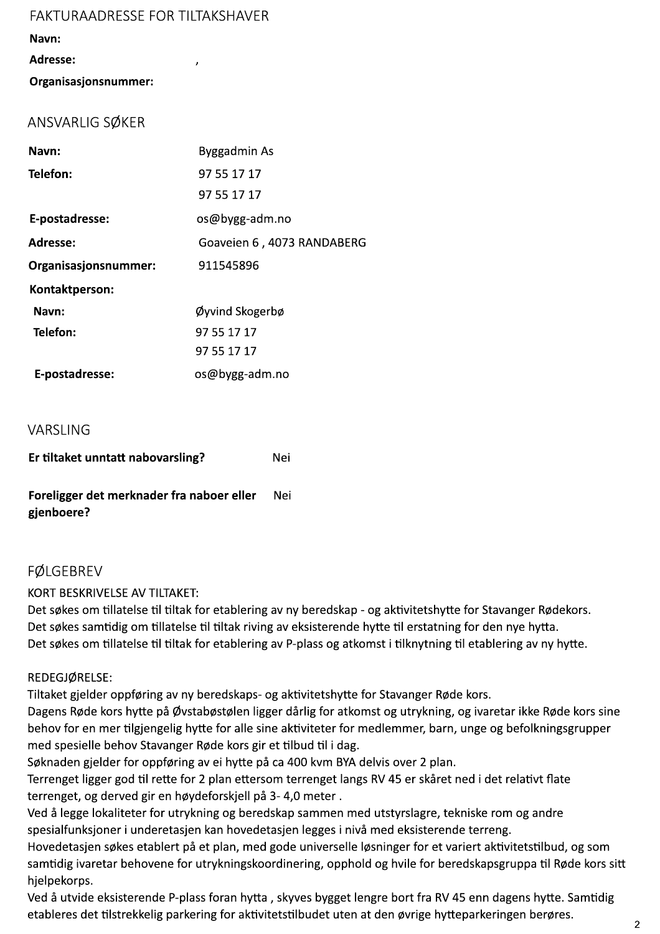### FAKTURAADRESSE FOR TILTAKSHAVER

Navn:

### Adresse:

Organisasjonsnummer:

# ANSVARLIG SØKER

| Navn:                | Byggadmin As               |
|----------------------|----------------------------|
| Telefon:             | 97 55 17 17                |
|                      | 97 55 17 17                |
| E-postadresse:       | os@bygg-adm.no             |
| Adresse:             | Goaveien 6, 4073 RANDABERG |
| Organisasjonsnummer: | 911545896                  |
| Kontaktperson:       |                            |
| Navn:                | Øyvind Skogerbø            |
| Telefon:             | 97 55 17 17                |
|                      | 97 55 17 17                |
| E-postadresse:       | os@bygg-adm.no             |

## VARSLING

| Er tiltaket unntatt nabovarsling?                       | Nei   |
|---------------------------------------------------------|-------|
| Foreligger det merknader fra naboer eller<br>gjenboere? | - Nei |

## FØLGEBREV

KORT BESKRIVELSE AV TILTAKET:

Det søkes om tillatelse til tiltak for etablering av ny beredskap - og aktivitetshytte for Stavanger Rødekors. Det søkes samtidig om tillatelse til tiltak riving av eksisterende hytte til erstatning for den nye hytta. Det søkes om tillatelse til tiltak for etablering av P-plass og atkomst i tilknytning til etablering av ny hytte.

### REDEGJØRELSE:

Tiltaket gjelder oppføring av ny beredskaps- og aktivitetshytte for Stavanger Røde kors.

Dagens Røde kors hytte på Øvstabøstølen ligger dårlig for atkomst og utrykning, og ivaretar ikke Røde kors sine behov for en mer tilgjengelig hytte for alle sine aktiviteter for medlemmer, barn, unge og befolkningsgrupper med spesielle behov Stavanger Røde kors gir et tilbud til i dag.

Søknaden gjelder for oppføring av ei hytte på ca 400 kvm BYA delvis over 2 plan.

Terrenget ligger god til rette for 2 plan ettersom terrenget langs RV 45 er skåret ned i det relativt flate terrenget, og derved gir en høydeforskjell på 3-4,0 meter.

Ved å legge lokaliteter for utrykning og beredskap sammen med utstyrslagre, tekniske rom og andre spesialfunksjoner i underetasjen kan hovedetasjen legges i nivå med eksisterende terreng.

Hovedetasjen søkes etablert på et plan, med gode universelle løsninger for et variert aktivitetstilbud, og som samtidig ivaretar behovene for utrykningskoordinering, opphold og hvile for beredskapsgruppa til Røde kors sitt hjelpekorps.

Ved å utvide eksisterende P-plass foran hytta, skyves bygget lengre bort fra RV 45 enn dagens hytte. Samtidig etableres det tilstrekkelig parkering for aktivitetstilbudet uten at den øvrige hytteparkeringen berøres.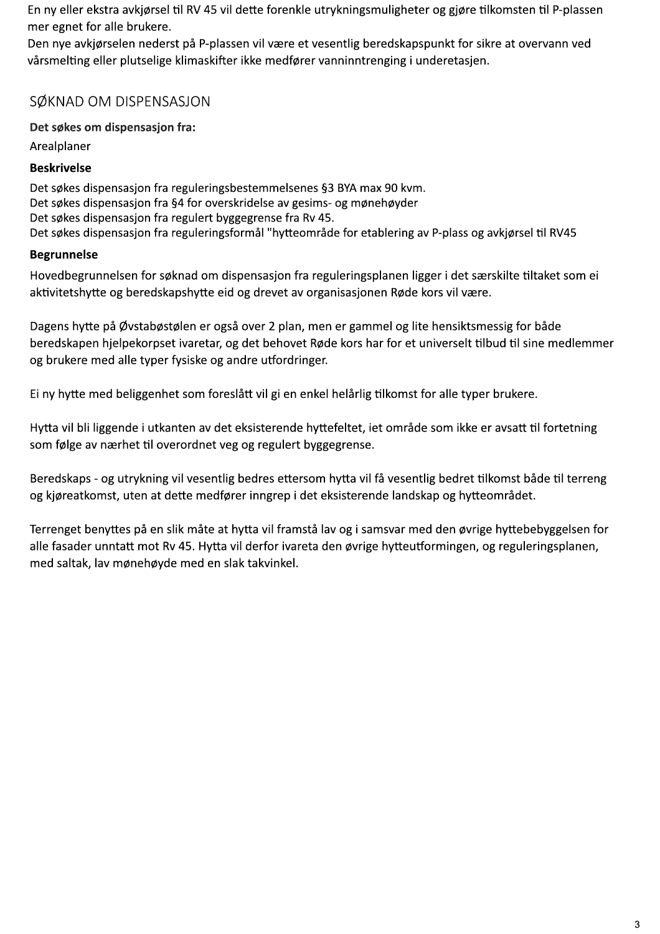En ny eller ekstra avkjørsel til RV 45 vil dette forenkle utrykningsmuligheter og gjøre tilkomsten til P-plassen mer egnet for alle brukere.

Den nye avkjørselen nederst på P-plassen vil være et vesentlig beredskapspunkt for sikre at overvann ved vårsmelting eller plutselige klimaskifter ikke medfører vanninntrenging i underetasjen.

# SØKNAD OM DISPENSASJON

Det søkes om dispensasjon fra:

Arealplaner

### **Beskrivelse**

Det søkes dispensasjon fra reguleringsbestemmelsenes §3 BYA max 90 kvm. Det søkes dispensasjon fra §4 for overskridelse av gesims- og mønehøyder Det søkes dispensasjon fra regulert byggegrense fra Rv 45. Det søkes dispensasjon fra reguleringsformål "hytteområde for etablering av P-plass og avkjørsel til RV45

## **Begrunnelse**

Hovedbegrunnelsen for søknad om dispensasjon fra reguleringsplanen ligger i det særskilte tiltaket som ei aktivitetshytte og beredskapshytte eid og drevet av organisasjonen Røde kors vil være.

Dagens hytte på Øvstabøstølen er også over 2 plan, men er gammel og lite hensiktsmessig for både beredskapen hjelpekorpset ivaretar, og det behovet Røde kors har for et universelt tilbud til sine medlemmer og brukere med alle typer fysiske og andre utfordringer.

Ei ny hytte med beliggenhet som foreslått vil gi en enkel helårlig tilkomst for alle typer brukere.

Hytta vil bli liggende i utkanten av det eksisterende hyttefeltet, iet område som ikke er avsatt til fortetning som følge av nærhet til overordnet veg og regulert byggegrense.

Beredskaps - og utrykning vil vesentlig bedres ettersom hytta vil få vesentlig bedret tilkomst både til terreng og kjøreatkomst, uten at dette medfører inngrep i det eksisterende landskap og hytteområdet.

Terrenget benyttes på en slik måte at hytta vil framstå lav og i samsvar med den øvrige hyttebebyggelsen for alle fasader unntatt mot Rv 45. Hytta vil derfor ivareta den øvrige hytteutformingen, og reguleringsplanen, med saltak, lav mønehøyde med en slak takvinkel.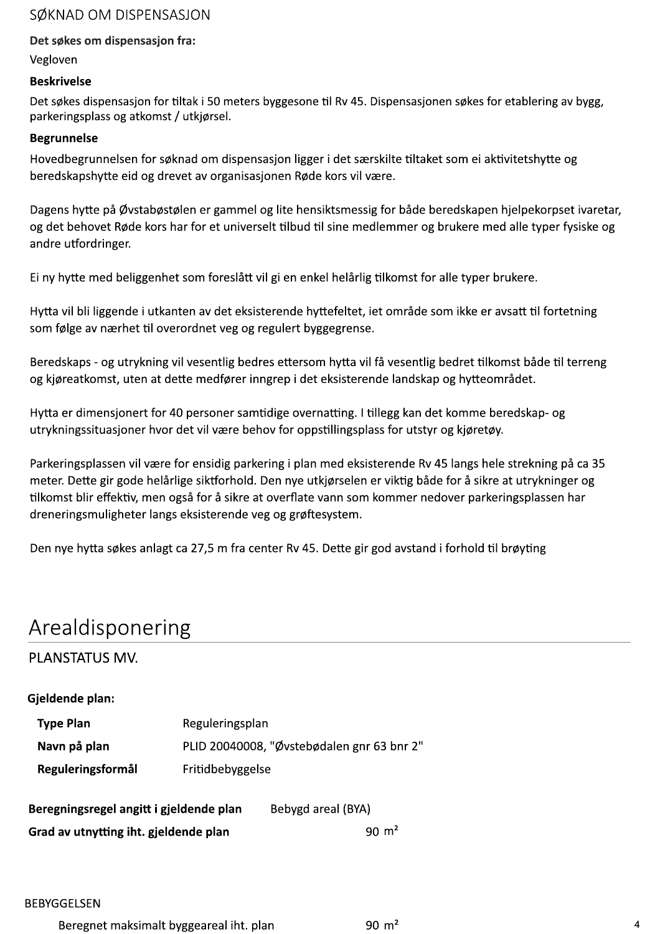## SØKNAD OM DISPENSASJON

### Det søkes om dispensasjon fra:

Vegloven

#### **Beskrivelse**

Det søkes dispensasjon for tiltak i 50 meters byggesone til Rv 45. Dispensasjonen søkes for etablering av bygg, parkeringsplass og atkomst / utkjørsel.

#### **Begrunnelse**

Hovedbegrunnelsen for søknad om dispensasjon ligger i det særskilte tiltaket som ei aktivitetshytte og beredskapshytte eid og drevet av organisasjonen Røde kors vil være.

Dagens hytte på Øvstabøstølen er gammel og lite hensiktsmessig for både beredskapen hjelpekorpset ivaretar, og det behovet Røde kors har for et universelt tilbud til sine medlemmer og brukere med alle typer fysiske og andre utfordringer.

Ei ny hytte med beliggenhet som foreslått vil gi en enkel helårlig tilkomst for alle typer brukere.

Hytta vil bli liggende i utkanten av det eksisterende hyttefeltet, iet område som ikke er avsatt til fortetning som følge av nærhet til overordnet veg og regulert byggegrense.

Beredskaps - og utrykning vil vesentlig bedres ettersom hytta vil få vesentlig bedret tilkomst både til terreng og kjøreatkomst, uten at dette medfører inngrep i det eksisterende landskap og hytteområdet.

Hytta er dimensjonert for 40 personer samtidige overnatting. I tillegg kan det komme beredskap- og utrykningssituasjoner hvor det vil være behov for oppstillingsplass for utstyr og kjøretøy.

Parkeringsplassen vil være for ensidig parkering i plan med eksisterende Rv 45 langs hele strekning på ca 35 meter. Dette gir gode helårlige siktforhold. Den nye utkjørselen er viktig både for å sikre at utrykninger og tilkomst blir effektiv, men også for å sikre at overflate vann som kommer nedover parkeringsplassen har dreneringsmuligheter langs eksisterende veg og grøftesystem.

Den nye hytta søkes anlagt ca 27,5 m fra center Rv 45. Dette gir god avstand i forhold til brøyting

# Arealdisponering

PLANSTATUS MV.

### Gjeldende plan:

| <b>Type Plan</b>                        | Reguleringsplan                            |                    |  |
|-----------------------------------------|--------------------------------------------|--------------------|--|
| Navn på plan                            | PLID 20040008, "Øvstebødalen gnr 63 bnr 2" |                    |  |
| Reguleringsformål                       | Fritidbebyggelse                           |                    |  |
| Beregningsregel angitt i gjeldende plan |                                            | Bebygd areal (BYA) |  |

 $90 \text{ m}^2$ Grad av utnytting iht. gjeldende plan

#### **BEBYGGELSEN**

 $90 \text{ m}^2$ Beregnet maksimalt byggeareal iht. plan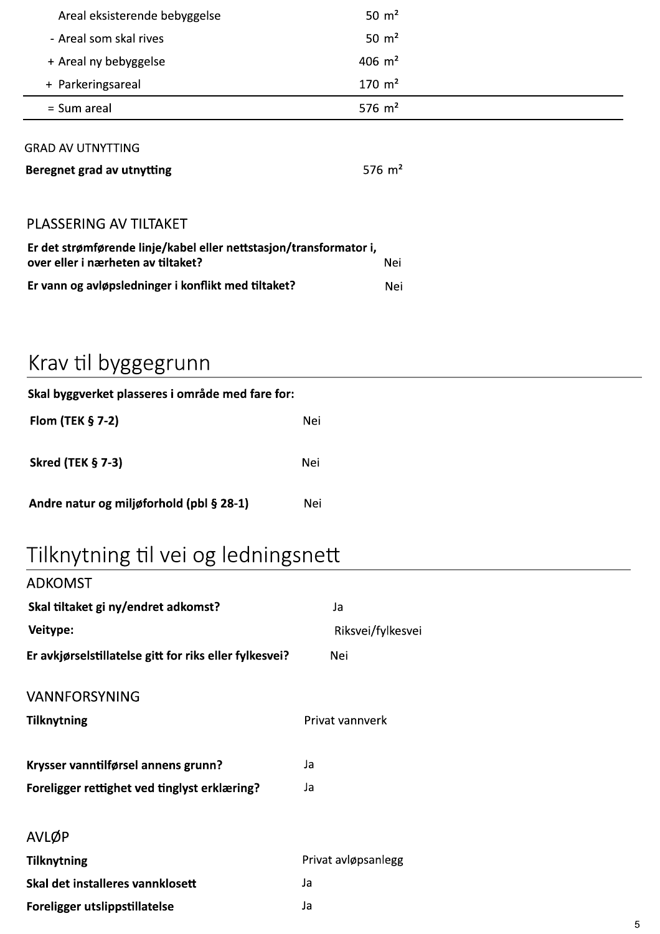| Areal eksisterende bebyggelse                                                                            | 50 $m2$             |  |
|----------------------------------------------------------------------------------------------------------|---------------------|--|
| - Areal som skal rives                                                                                   | 50 $m2$             |  |
| + Areal ny bebyggelse                                                                                    | 406 $m2$            |  |
| + Parkeringsareal                                                                                        | $170 \; \text{m}^2$ |  |
| = Sum areal                                                                                              | 576 $m2$            |  |
| <b>GRAD AV UTNYTTING</b><br>Beregnet grad av utnytting                                                   | 576 $m2$            |  |
| PLASSERING AV TILTAKET                                                                                   |                     |  |
| Er det strømførende linje/kabel eller nettstasjon/transformator i,<br>over eller i nærheten av tiltaket? | Nei                 |  |
| Er vann og avløpsledninger i konflikt med tiltaket?                                                      | Nei                 |  |

# Krav til byggegrunn

| Skal byggverket plasseres i område med fare for: |     |  |  |
|--------------------------------------------------|-----|--|--|
| Flom (TEK $\S$ 7-2)                              | Nei |  |  |
| <b>Skred (TEK § 7-3)</b>                         | Nei |  |  |
| Andre natur og miljøforhold (pbl § 28-1)         | Nei |  |  |

# Tilknytning til vei og ledningsnett

| <b>ADKOMST</b>                                         |                     |
|--------------------------------------------------------|---------------------|
| Skal tiltaket gi ny/endret adkomst?                    | Ja                  |
| Veitype:                                               | Riksvei/fylkesvei   |
| Er avkjørselstillatelse gitt for riks eller fylkesvei? | Nei                 |
| <b>VANNFORSYNING</b>                                   |                     |
| <b>Tilknytning</b>                                     | Privat vannverk     |
| Krysser vanntilførsel annens grunn?                    | Ja                  |
| Foreligger rettighet ved tinglyst erklæring?           | Ja                  |
| AVLØP                                                  |                     |
| <b>Tilknytning</b>                                     | Privat avløpsanlegg |
| Skal det installeres vannklosett                       | Ja                  |
| Foreligger utslippstillatelse                          | Ja                  |